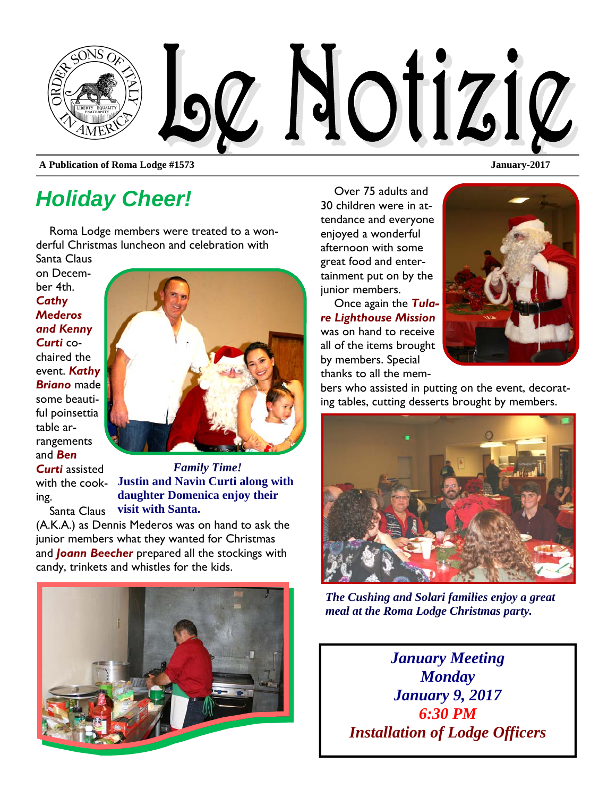

**A Publication of Roma Lodge #1573 January-2017** 

# *Holiday Cheer!*

Roma Lodge members were treated to a wonderful Christmas luncheon and celebration with Santa Claus

on December 4th. *Cathy Mederos and Kenny Curti* cochaired the event. *Kathy Briano* made some beautiful poinsettia table arrangements and *Ben* 

*Curti* assisted ing. Santa Claus



with the cook-**Justin and Navin Curti along with**  *Family Time!*  **daughter Domenica enjoy their visit with Santa.** 

(A.K.A.) as Dennis Mederos was on hand to ask the junior members what they wanted for Christmas and *Joann Beecher* prepared all the stockings with candy, trinkets and whistles for the kids.



Over 75 adults and 30 children were in attendance and everyone enjoyed a wonderful afternoon with some great food and entertainment put on by the junior members.

Once again the *Tulare Lighthouse Mission*  was on hand to receive all of the items brought by members. Special thanks to all the mem-



bers who assisted in putting on the event, decorating tables, cutting desserts brought by members.



*The Cushing and Solari families enjoy a great meal at the Roma Lodge Christmas party.* 

*January Meeting Monday January 9, 2017 6:30 PM Installation of Lodge Officers*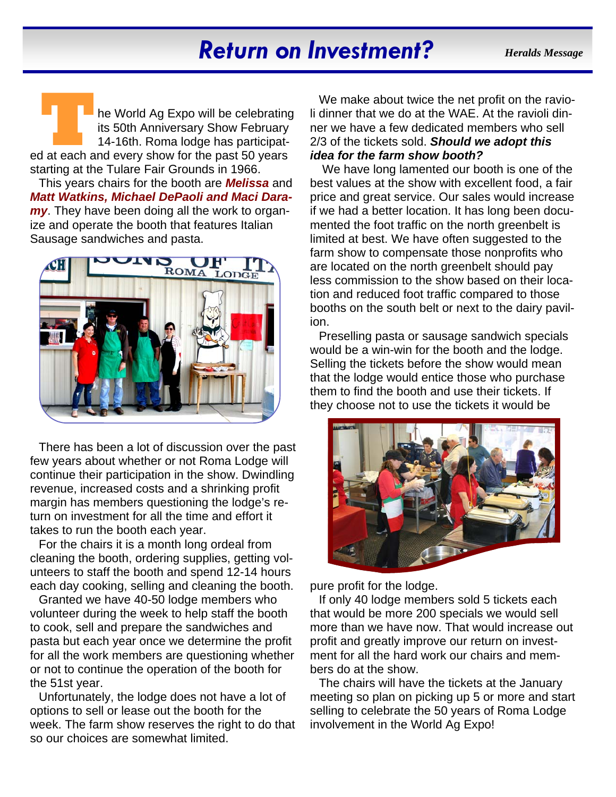# *Return on Investment?*

*Heralds Message* 

**TAN EXPONSIGNAL CONTROVER THE WORLD AGE AGE ARE CONTROVED THE SOUTH OF THE SOURCE AND 14-16th. Roma lodge has participated at each and every show for the past 50 years** its 50th Anniversary Show February 14-16th. Roma lodge has participatstarting at the Tulare Fair Grounds in 1966.

This years chairs for the booth are *Melissa* and *Matt Watkins, Michael DePaoli and Maci Daramy*. They have been doing all the work to organize and operate the booth that features Italian Sausage sandwiches and pasta.



There has been a lot of discussion over the past few years about whether or not Roma Lodge will continue their participation in the show. Dwindling revenue, increased costs and a shrinking profit margin has members questioning the lodge's return on investment for all the time and effort it takes to run the booth each year.

For the chairs it is a month long ordeal from cleaning the booth, ordering supplies, getting volunteers to staff the booth and spend 12-14 hours each day cooking, selling and cleaning the booth.

Granted we have 40-50 lodge members who volunteer during the week to help staff the booth to cook, sell and prepare the sandwiches and pasta but each year once we determine the profit for all the work members are questioning whether or not to continue the operation of the booth for the 51st year.

Unfortunately, the lodge does not have a lot of options to sell or lease out the booth for the week. The farm show reserves the right to do that so our choices are somewhat limited.

We make about twice the net profit on the ravioli dinner that we do at the WAE. At the ravioli dinner we have a few dedicated members who sell 2/3 of the tickets sold. *Should we adopt this idea for the farm show booth?*

 We have long lamented our booth is one of the best values at the show with excellent food, a fair price and great service. Our sales would increase if we had a better location. It has long been documented the foot traffic on the north greenbelt is limited at best. We have often suggested to the farm show to compensate those nonprofits who are located on the north greenbelt should pay less commission to the show based on their location and reduced foot traffic compared to those booths on the south belt or next to the dairy pavilion.

Preselling pasta or sausage sandwich specials would be a win-win for the booth and the lodge. Selling the tickets before the show would mean that the lodge would entice those who purchase them to find the booth and use their tickets. If they choose not to use the tickets it would be



pure profit for the lodge.

If only 40 lodge members sold 5 tickets each that would be more 200 specials we would sell more than we have now. That would increase out profit and greatly improve our return on investment for all the hard work our chairs and members do at the show.

The chairs will have the tickets at the January meeting so plan on picking up 5 or more and start selling to celebrate the 50 years of Roma Lodge involvement in the World Ag Expo!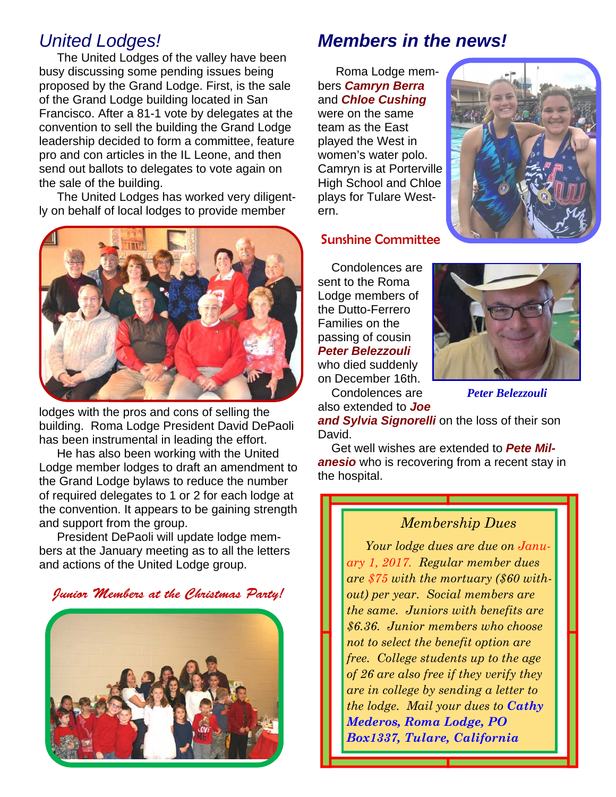## *United Lodges!*

The United Lodges of the valley have been busy discussing some pending issues being proposed by the Grand Lodge. First, is the sale of the Grand Lodge building located in San Francisco. After a 81-1 vote by delegates at the convention to sell the building the Grand Lodge leadership decided to form a committee, feature pro and con articles in the IL Leone, and then send out ballots to delegates to vote again on the sale of the building.

The United Lodges has worked very diligently on behalf of local lodges to provide member



lodges with the pros and cons of selling the building. Roma Lodge President David DePaoli has been instrumental in leading the effort.

He has also been working with the United Lodge member lodges to draft an amendment to the Grand Lodge bylaws to reduce the number of required delegates to 1 or 2 for each lodge at the convention. It appears to be gaining strength and support from the group.

President DePaoli will update lodge members at the January meeting as to all the letters and actions of the United Lodge group.

Junior Members at the Christmas Party!



## *Members in the news!*

Roma Lodge members *Camryn Berra* and *Chloe Cushing*  were on the same team as the East played the West in women's water polo. Camryn is at Porterville High School and Chloe plays for Tulare Western.



#### Sunshine Committee

Condolences are sent to the Roma Lodge members of the Dutto-Ferrero Families on the passing of cousin *Peter Belezzouli*  who died suddenly on December 16th.

Condolences are also extended to *Joe* 



*Peter Belezzouli* 

3

**and Sylvia Signorelli** on the loss of their son David.

Get well wishes are extended to *Pete Milanesio* who is recovering from a recent stay in the hospital.

#### *Membership Dues*

*Your lodge dues are due on January 1, 2017. Regular member dues are \$75 with the mortuary (\$60 without) per year. Social members are the same. Juniors with benefits are \$6.36. Junior members who choose not to select the benefit option are free. College students up to the age of 26 are also free if they verify they are in college by sending a letter to the lodge. Mail your dues to Cathy Mederos, Roma Lodge, PO Box1337, Tulare, California*